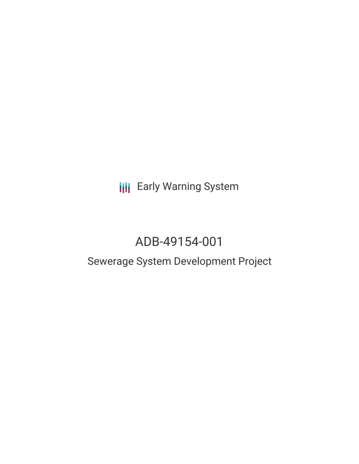**III** Early Warning System

# ADB-49154-001

## Sewerage System Development Project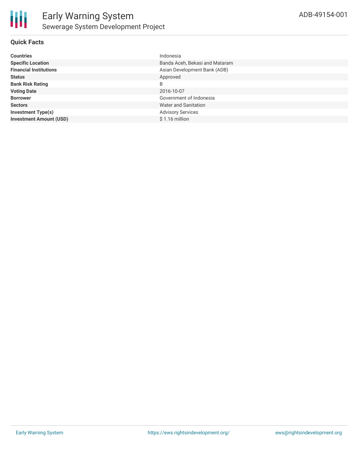#### **Quick Facts**

| <b>Countries</b>               | Indonesia                      |
|--------------------------------|--------------------------------|
| <b>Specific Location</b>       | Banda Aceh, Bekasi and Mataram |
| <b>Financial Institutions</b>  | Asian Development Bank (ADB)   |
| <b>Status</b>                  | Approved                       |
| <b>Bank Risk Rating</b>        | B                              |
| <b>Voting Date</b>             | 2016-10-07                     |
| <b>Borrower</b>                | Government of Indonesia        |
| <b>Sectors</b>                 | Water and Sanitation           |
| <b>Investment Type(s)</b>      | <b>Advisory Services</b>       |
| <b>Investment Amount (USD)</b> | $$1.16$ million                |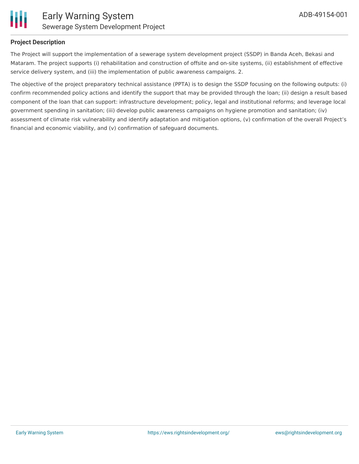

#### **Project Description**

The Project will support the implementation of a sewerage system development project (SSDP) in Banda Aceh, Bekasi and Mataram. The project supports (i) rehabilitation and construction of offsite and on-site systems, (ii) establishment of effective service delivery system, and (iii) the implementation of public awareness campaigns. 2.

The objective of the project preparatory technical assistance (PPTA) is to design the SSDP focusing on the following outputs: (i) confirm recommended policy actions and identify the support that may be provided through the loan; (ii) design a result based component of the loan that can support: infrastructure development; policy, legal and institutional reforms; and leverage local government spending in sanitation; (iii) develop public awareness campaigns on hygiene promotion and sanitation; (iv) assessment of climate risk vulnerability and identify adaptation and mitigation options, (v) confirmation of the overall Project's financial and economic viability, and (v) confirmation of safeguard documents.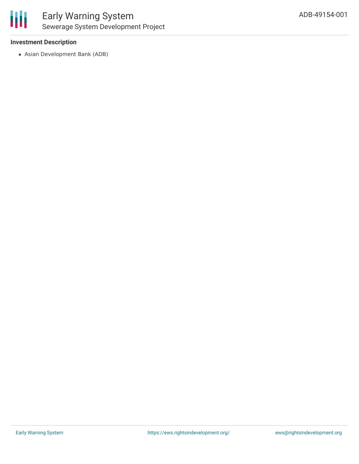

#### **Investment Description**

Asian Development Bank (ADB)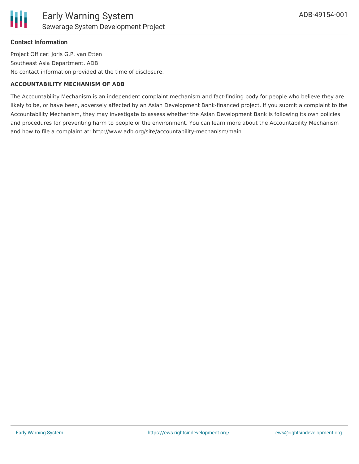#### **Contact Information**

Project Officer: Joris G.P. van Etten Southeast Asia Department, ADB No contact information provided at the time of disclosure.

#### **ACCOUNTABILITY MECHANISM OF ADB**

The Accountability Mechanism is an independent complaint mechanism and fact-finding body for people who believe they are likely to be, or have been, adversely affected by an Asian Development Bank-financed project. If you submit a complaint to the Accountability Mechanism, they may investigate to assess whether the Asian Development Bank is following its own policies and procedures for preventing harm to people or the environment. You can learn more about the Accountability Mechanism and how to file a complaint at: http://www.adb.org/site/accountability-mechanism/main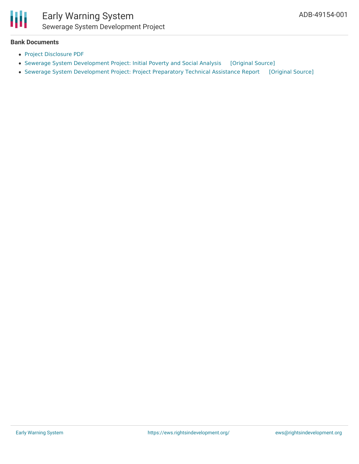

### Early Warning System Sewerage System Development Project

#### **Bank Documents**

- Project [Disclosure](https://www.adb.org/printpdf/projects/49154-001/main) PDF
- Sewerage System [Development](https://ewsdata.rightsindevelopment.org/files/documents/01/ADB-49154-001.pdf) Project: Initial Poverty and Social Analysis [\[Original](https://www.adb.org/projects/documents/ino-sewerage-system-development-project-ipsa) Source]
- Sewerage System [Development](https://ewsdata.rightsindevelopment.org/files/documents/01/ADB-49154-001_ZegTG8A.pdf) Project: Project Preparatory Technical Assistance Report [\[Original](https://www.adb.org/projects/documents/ino-sewerage-system-development-project-pptar) Source]